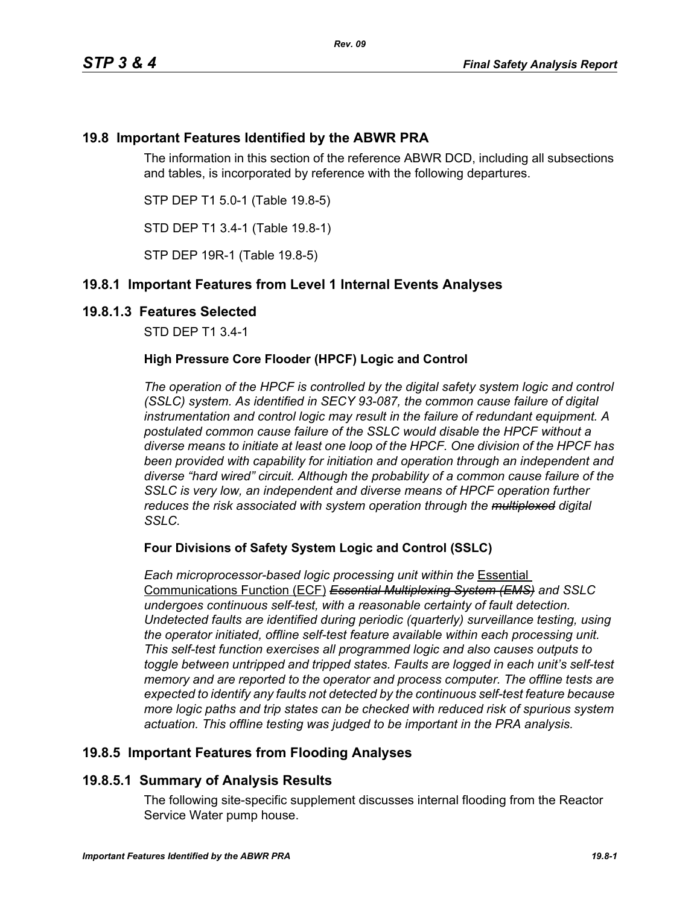# **19.8 Important Features Identified by the ABWR PRA**

The information in this section of the reference ABWR DCD, including all subsections and tables, is incorporated by reference with the following departures.

STP DEP T1 5.0-1 (Table 19.8-5)

STD DEP T1 3.4-1 (Table 19.8-1)

STP DEP 19R-1 (Table 19.8-5)

# **19.8.1 Important Features from Level 1 Internal Events Analyses**

### **19.8.1.3 Features Selected**

STD DEP T1 3.4-1

### **High Pressure Core Flooder (HPCF) Logic and Control**

*The operation of the HPCF is controlled by the digital safety system logic and control (SSLC) system. As identified in SECY 93-087, the common cause failure of digital instrumentation and control logic may result in the failure of redundant equipment. A postulated common cause failure of the SSLC would disable the HPCF without a diverse means to initiate at least one loop of the HPCF. One division of the HPCF has been provided with capability for initiation and operation through an independent and diverse "hard wired" circuit. Although the probability of a common cause failure of the SSLC is very low, an independent and diverse means of HPCF operation further reduces the risk associated with system operation through the multiplexed digital SSLC.*

### **Four Divisions of Safety System Logic and Control (SSLC)**

*Each microprocessor-based logic processing unit within the* Essential Communications Function (ECF) *Essential Multiplexing System (EMS) and SSLC undergoes continuous self-test, with a reasonable certainty of fault detection. Undetected faults are identified during periodic (quarterly) surveillance testing, using the operator initiated, offline self-test feature available within each processing unit. This self-test function exercises all programmed logic and also causes outputs to toggle between untripped and tripped states. Faults are logged in each unit's self-test memory and are reported to the operator and process computer. The offline tests are expected to identify any faults not detected by the continuous self-test feature because more logic paths and trip states can be checked with reduced risk of spurious system actuation. This offline testing was judged to be important in the PRA analysis.*

# **19.8.5 Important Features from Flooding Analyses**

# **19.8.5.1 Summary of Analysis Results**

The following site-specific supplement discusses internal flooding from the Reactor Service Water pump house.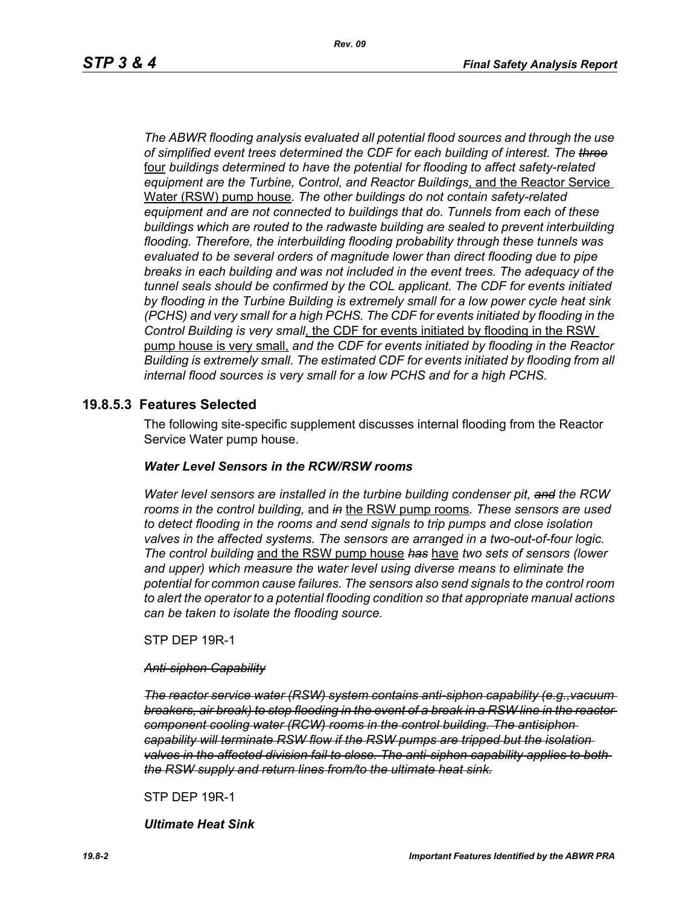*The ABWR flooding analysis evaluated all potential flood sources and through the use of simplified event trees determined the CDF for each building of interest. The three* four *buildings determined to have the potential for flooding to affect safety-related equipment are the Turbine, Control, and Reactor Buildings*, and the Reactor Service Water (RSW) pump house*. The other buildings do not contain safety-related equipment and are not connected to buildings that do. Tunnels from each of these buildings which are routed to the radwaste building are sealed to prevent interbuilding flooding. Therefore, the interbuilding flooding probability through these tunnels was evaluated to be several orders of magnitude lower than direct flooding due to pipe breaks in each building and was not included in the event trees. The adequacy of the tunnel seals should be confirmed by the COL applicant. The CDF for events initiated by flooding in the Turbine Building is extremely small for a low power cycle heat sink (PCHS) and very small for a high PCHS. The CDF for events initiated by flooding in the Control Building is very small*, the CDF for events initiated by flooding in the RSW pump house is very small, *and the CDF for events initiated by flooding in the Reactor Building is extremely small. The estimated CDF for events initiated by flooding from all internal flood sources is very small for a low PCHS and for a high PCHS.*

### **19.8.5.3 Features Selected**

The following site-specific supplement discusses internal flooding from the Reactor Service Water pump house.

#### *Water Level Sensors in the RCW/RSW rooms*

*Water level sensors are installed in the turbine building condenser pit, and the RCW rooms in the control building,* and *in* the RSW pump rooms*. These sensors are used to detect flooding in the rooms and send signals to trip pumps and close isolation valves in the affected systems. The sensors are arranged in a two-out-of-four logic. The control building* and the RSW pump house *has* have *two sets of sensors (lower and upper) which measure the water level using diverse means to eliminate the potential for common cause failures. The sensors also send signals to the control room to alert the operator to a potential flooding condition so that appropriate manual actions can be taken to isolate the flooding source.*

STP DEP 19R-1

#### *Anti-siphon Capability*

*The reactor service water (RSW) system contains anti-siphon capability (e.g.,vacuum breakers, air break) to stop flooding in the event of a break in a RSW line in the reactor component cooling water (RCW) rooms in the control building. The antisiphon capability will terminate RSW flow if the RSW pumps are tripped but the isolation valves in the affected division fail to close. The anti-siphon capability applies to both the RSW supply and return lines from/to the ultimate heat sink.*

STP DEP 19R-1

*Ultimate Heat Sink*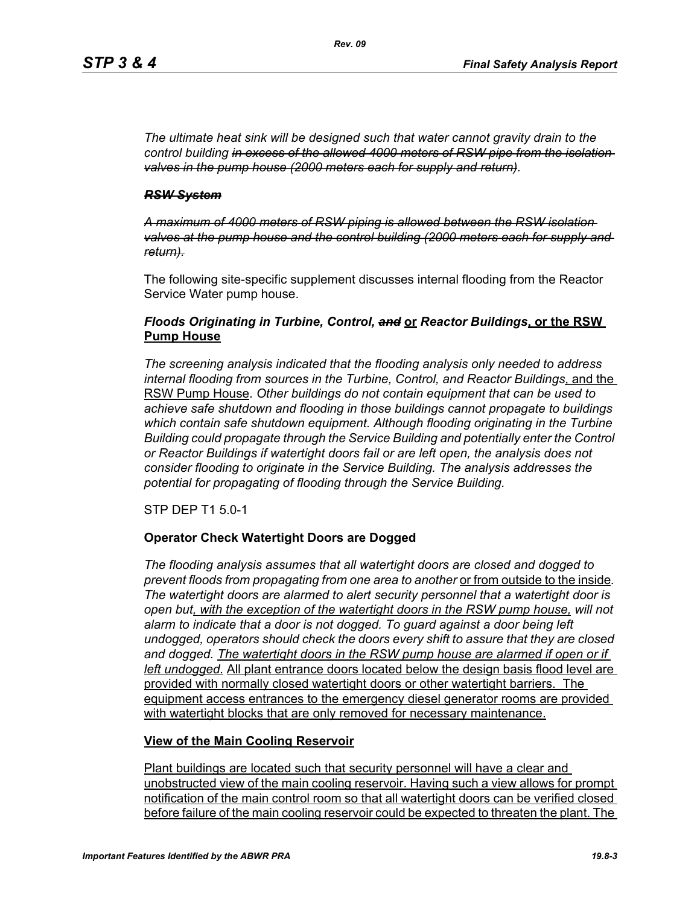*The ultimate heat sink will be designed such that water cannot gravity drain to the control building in excess of the allowed 4000 meters of RSW pipe from the isolation valves in the pump house (2000 meters each for supply and return).*

#### *RSW System*

*A maximum of 4000 meters of RSW piping is allowed between the RSW isolation valves at the pump house and the control building (2000 meters each for supply and return).*

The following site-specific supplement discusses internal flooding from the Reactor Service Water pump house.

### *Floods Originating in Turbine, Control, and* **or** *Reactor Buildings***, or the RSW Pump House**

*The screening analysis indicated that the flooding analysis only needed to address internal flooding from sources in the Turbine, Control, and Reactor Buildings*, and the RSW Pump House. *Other buildings do not contain equipment that can be used to achieve safe shutdown and flooding in those buildings cannot propagate to buildings which contain safe shutdown equipment. Although flooding originating in the Turbine Building could propagate through the Service Building and potentially enter the Control or Reactor Buildings if watertight doors fail or are left open, the analysis does not consider flooding to originate in the Service Building. The analysis addresses the potential for propagating of flooding through the Service Building.*

STP DEP T1 5.0-1

### **Operator Check Watertight Doors are Dogged**

*The flooding analysis assumes that all watertight doors are closed and dogged to prevent floods from propagating from one area to another* or from outside to the inside*. The watertight doors are alarmed to alert security personnel that a watertight door is open but, with the exception of the watertight doors in the RSW pump house, will not alarm to indicate that a door is not dogged. To guard against a door being left undogged, operators should check the doors every shift to assure that they are closed*  and dogged. The watertight doors in the RSW pump house are alarmed if open or if *left undogged.* All plant entrance doors located below the design basis flood level are provided with normally closed watertight doors or other watertight barriers. The equipment access entrances to the emergency diesel generator rooms are provided with watertight blocks that are only removed for necessary maintenance.

### **View of the Main Cooling Reservoir**

Plant buildings are located such that security personnel will have a clear and unobstructed view of the main cooling reservoir. Having such a view allows for prompt notification of the main control room so that all watertight doors can be verified closed before failure of the main cooling reservoir could be expected to threaten the plant. The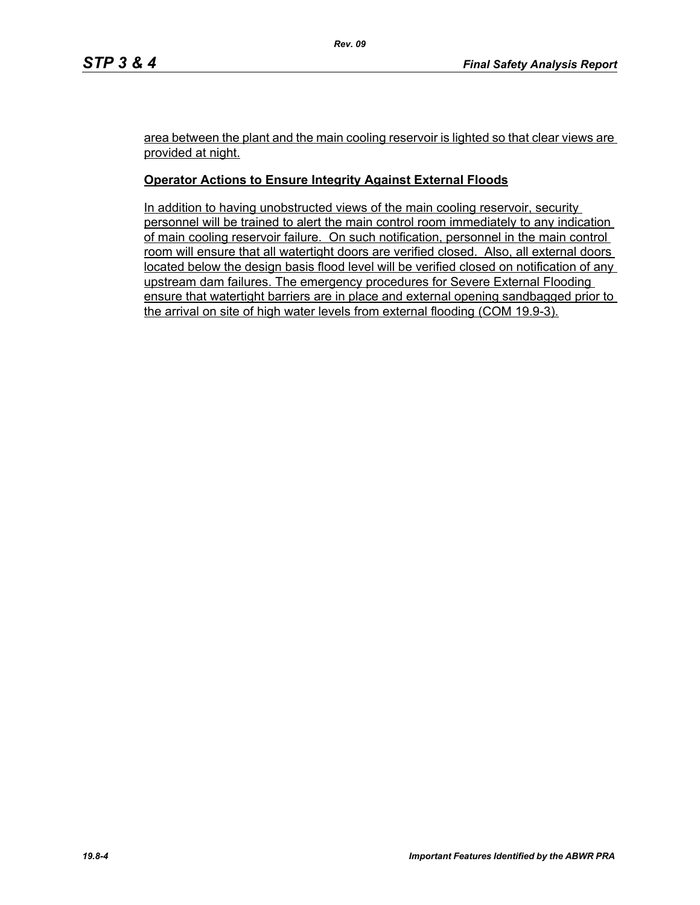area between the plant and the main cooling reservoir is lighted so that clear views are provided at night.

### **Operator Actions to Ensure Integrity Against External Floods**

In addition to having unobstructed views of the main cooling reservoir, security personnel will be trained to alert the main control room immediately to any indication of main cooling reservoir failure. On such notification, personnel in the main control room will ensure that all watertight doors are verified closed. Also, all external doors located below the design basis flood level will be verified closed on notification of any upstream dam failures. The emergency procedures for Severe External Flooding ensure that watertight barriers are in place and external opening sandbagged prior to the arrival on site of high water levels from external flooding (COM 19.9-3).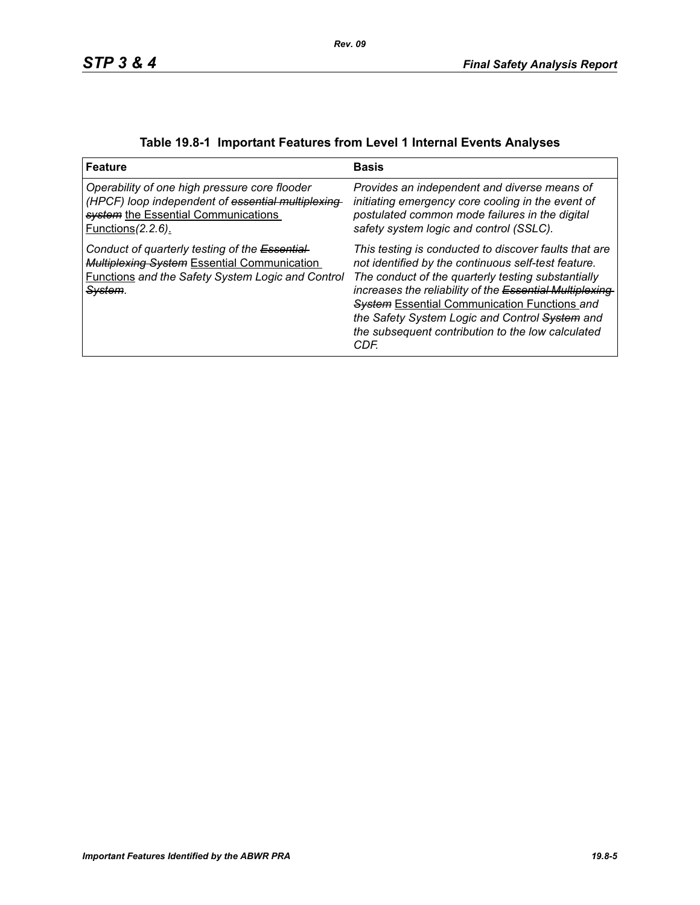| <b>Feature</b>                                                                                                                                                                   | <b>Basis</b>                                                                                                                                                                                                                                                                                                                                                                                         |
|----------------------------------------------------------------------------------------------------------------------------------------------------------------------------------|------------------------------------------------------------------------------------------------------------------------------------------------------------------------------------------------------------------------------------------------------------------------------------------------------------------------------------------------------------------------------------------------------|
| Operability of one high pressure core flooder<br>(HPCF) loop independent of essential multiplexing-<br>system the Essential Communications<br><u>Functions (2.2.6).</u>          | Provides an independent and diverse means of<br>initiating emergency core cooling in the event of<br>postulated common mode failures in the digital<br>safety system logic and control (SSLC).                                                                                                                                                                                                       |
| Conduct of quarterly testing of the Essential-<br>Multiplexing System Essential Communication<br><b>Functions and the Safety System Logic and Control</b><br><del>System</del> . | This testing is conducted to discover faults that are<br>not identified by the continuous self-test feature.<br>The conduct of the quarterly testing substantially<br>increases the reliability of the Essential Multiplexing-<br><b>System Essential Communication Functions and</b><br>the Safety System Logic and Control System and<br>the subsequent contribution to the low calculated<br>CDF. |